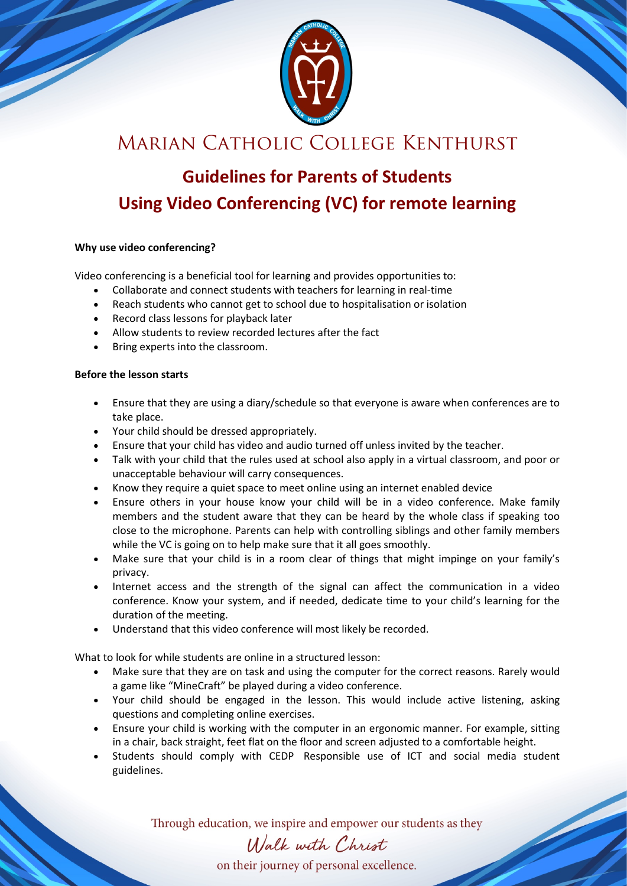

## Marian Catholic College Kenthurst

# **Guidelines for Parents of Students Using Video Conferencing (VC) for remote learning**

#### **Why use video conferencing?**

Video conferencing is a beneficial tool for learning and provides opportunities to:

- Collaborate and connect students with teachers for learning in real-time
- Reach students who cannot get to school due to hospitalisation or isolation
- Record class lessons for playback later
- Allow students to review recorded lectures after the fact
- Bring experts into the classroom.

#### **Before the lesson starts**

- Ensure that they are using a diary/schedule so that everyone is aware when conferences are to take place.
- Your child should be dressed appropriately.
- Ensure that your child has video and audio turned off unless invited by the teacher.
- Talk with your child that the rules used at school also apply in a virtual classroom, and poor or unacceptable behaviour will carry consequences.
- Know they require a quiet space to meet online using an internet enabled device
- Ensure others in your house know your child will be in a video conference. Make family members and the student aware that they can be heard by the whole class if speaking too close to the microphone. Parents can help with controlling siblings and other family members while the VC is going on to help make sure that it all goes smoothly.
- Make sure that your child is in a room clear of things that might impinge on your family's privacy.
- Internet access and the strength of the signal can affect the communication in a video conference. Know your system, and if needed, dedicate time to your child's learning for the duration of the meeting.
- Understand that this video conference will most likely be recorded.

What to look for while students are online in a structured lesson:

- Make sure that they are on task and using the computer for the correct reasons. Rarely would a game like "MineCraft" be played during a video conference.
- Your child should be engaged in the lesson. This would include active listening, asking questions and completing online exercises.
- Ensure your child is working with the computer in an ergonomic manner. For example, sitting in a chair, back straight, feet flat on the floor and screen adjusted to a comfortable height.
- Students should comply with CEDP [Responsible use of ICT and social media student](https://oscarshare.parra.catholic.edu.au/My%20Work/SystemPoliciesandProcedures/Responsible%20Use%20of%20ICT%20and%20Social%20Media%20-%20Student%20Guidelines.pdf)  [guidelines.](https://oscarshare.parra.catholic.edu.au/My%20Work/SystemPoliciesandProcedures/Responsible%20Use%20of%20ICT%20and%20Social%20Media%20-%20Student%20Guidelines.pdf)

Through education, we inspire and empower our students as they

## Walk with Christ

on their journey of personal excellence.